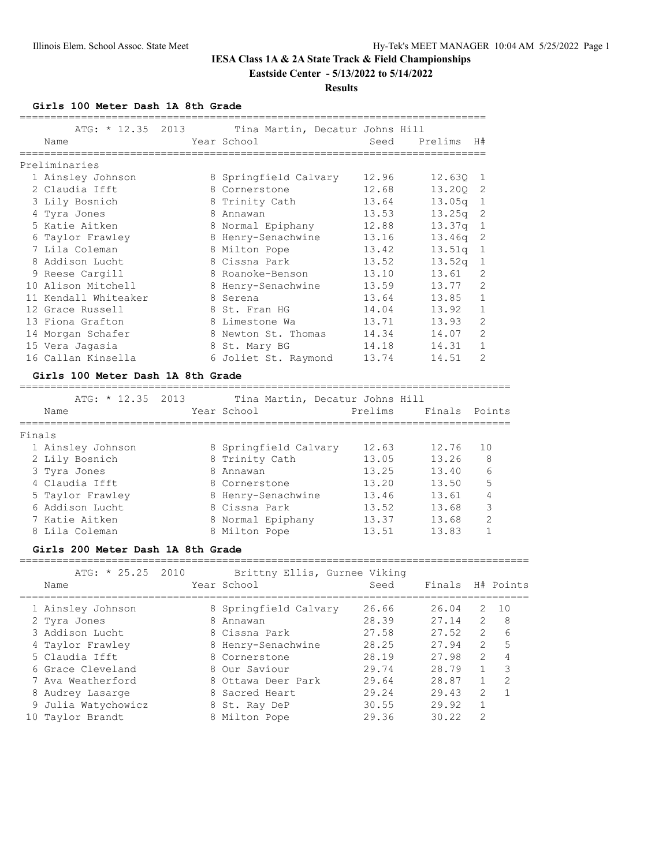# **IESA Class 1A & 2A State Track & Field Championships Eastside Center - 5/13/2022 to 5/14/2022**

**Results**

**Girls 100 Meter Dash 1A 8th Grade**

| ATG: * 12.35 2013<br>Name |   | Tina Martin, Decatur Johns Hill<br>Year School | Seed  | Prelims            | H#             |
|---------------------------|---|------------------------------------------------|-------|--------------------|----------------|
|                           |   |                                                |       |                    |                |
| Preliminaries             |   |                                                |       |                    |                |
| 1 Ainsley Johnson         |   | 8 Springfield Calvary                          | 12.96 | 12.630 1           |                |
| 2 Claudia Ifft            |   | 8 Cornerstone                                  | 12.68 | 13.200             | -2             |
| 3 Lily Bosnich            |   | 8 Trinity Cath                                 | 13.64 | 13.05a             | -1             |
| 4 Tyra Jones              | 8 | Annawan                                        | 13.53 | 13.25q             | -2             |
| 5 Katie Aitken            | 8 | Normal Epiphany                                | 12.88 | 13.37q             | 1              |
| 6 Taylor Frawley          |   | 8 Henry-Senachwine                             | 13.16 | 13.46q             | -2             |
| 7 Lila Coleman            |   | 8 Milton Pope                                  | 13.42 | 13.51q             | 1              |
| 8 Addison Lucht           |   | 8 Cissna Park                                  | 13.52 | 13.52 <sub>q</sub> | 1              |
| 9 Reese Cargill           |   | 8 Roanoke-Benson                               | 13.10 | 13.61              | 2              |
| 10 Alison Mitchell        |   | 8 Henry-Senachwine                             | 13.59 | 13.77              | 2              |
| 11 Kendall Whiteaker      |   | 8 Serena                                       | 13.64 | 13.85              | $\mathbf{1}$   |
| 12 Grace Russell          |   | 8 St. Fran HG                                  | 14.04 | 13.92              | $\mathbf{1}$   |
| 13 Fiona Grafton          |   | 8 Limestone Wa                                 | 13.71 | 13.93              | 2              |
| 14 Morgan Schafer         |   | 8 Newton St. Thomas                            | 14.34 | 14.07              | $\overline{2}$ |
| 15 Vera Jagasia           |   | 8 St. Mary BG                                  | 14.18 | 14.31              | $\mathbf{1}$   |
| 16 Callan Kinsella        |   | 6 Joliet St. Raymond                           | 13.74 | 14.51              | $\overline{2}$ |

#### **Girls 100 Meter Dash 1A 8th Grade**

================================================================================ ATG: \* 12.35 2013 Tina Martin, Decatur Johns Hill Name Year School Prelims Finals Points ================================================================================ Finals 1 Ainsley Johnson 8 Springfield Calvary 12.63 12.76 10 2 Lily Bosnich 8 Trinity Cath 13.05 13.26 8 3 Tyra Jones 8 Annawan 13.25 13.40 6 4 Claudia Ifft 8 Cornerstone 13.20 13.50 5 5 Taylor Frawley 8 Henry-Senachwine 13.46 13.61 4 6 Addison Lucht 8 Cissna Park 13.52 13.68 3 7 Katie Aitken 8 Normal Epiphany 13.37 13.68 2 8 Lila Coleman 8 Milton Pope 13.51 13.83 1

#### **Girls 200 Meter Dash 1A 8th Grade**

=================================================================================== ATG: \* 25.25 2010 Brittny Ellis, Gurnee Viking

| AIG: ^ 40.40 4010<br>BIILLIY EIIIS, GUINEE VIKING |                     |  |                       |       |                  |                |    |
|---------------------------------------------------|---------------------|--|-----------------------|-------|------------------|----------------|----|
|                                                   | Name                |  | Year School           | Seed  | Finals H# Points |                |    |
|                                                   | 1 Ainsley Johnson   |  | 8 Springfield Calvary | 26.66 | 26.04            | 2              | 10 |
|                                                   | 2 Tyra Jones        |  | 8 Annawan             | 28.39 | 27.14            | 2              | 8  |
|                                                   | 3 Addison Lucht     |  | 8 Cissna Park         | 27.58 | 27.52            | 2              | 6  |
|                                                   | 4 Taylor Frawley    |  | 8 Henry-Senachwine    | 28.25 | 27.94            | 2              | 5  |
|                                                   | 5 Claudia Ifft      |  | 8 Cornerstone         | 28.19 | 27.98            | $\mathcal{L}$  |    |
|                                                   | 6 Grace Cleveland   |  | 8 Our Saviour         | 29.74 | 28.79            |                | 3  |
|                                                   | 7 Ava Weatherford   |  | 8 Ottawa Deer Park    | 29.64 | 28.87            |                | 2  |
|                                                   | 8 Audrey Lasarge    |  | 8 Sacred Heart        | 29.24 | 29.43            | $\overline{2}$ |    |
|                                                   | 9 Julia Watychowicz |  | 8 St. Ray DeP         | 30.55 | 29.92            |                |    |
| 10                                                | Taylor Brandt       |  | 8 Milton Pope         | 29.36 | 30.22            | 2              |    |
|                                                   |                     |  |                       |       |                  |                |    |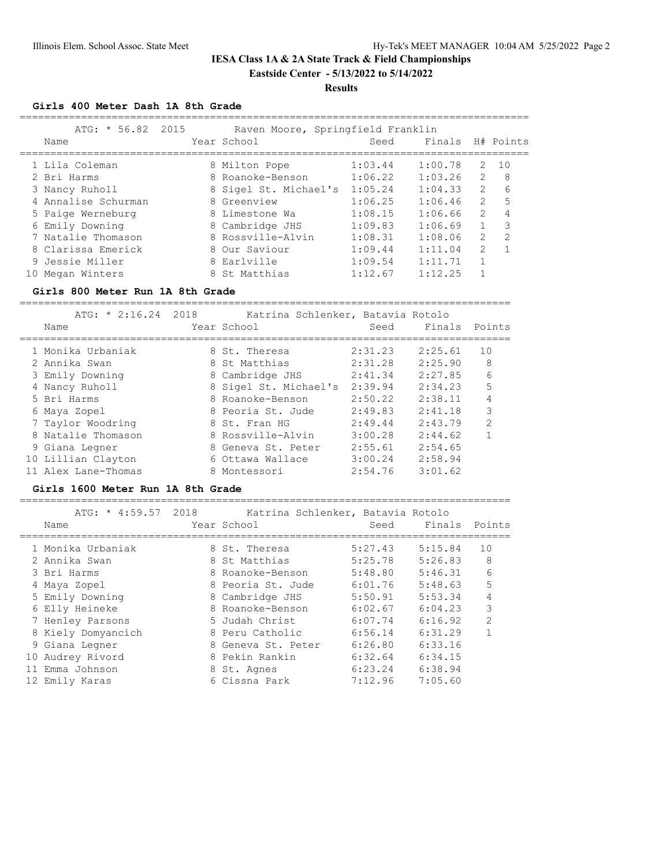# **IESA Class 1A & 2A State Track & Field Championships Eastside Center - 5/13/2022 to 5/14/2022**

#### **Results**

### **Girls 400 Meter Dash 1A 8th Grade**

|    | ATG: $* 56.82 2015$<br>Name |   | Raven Moore, Springfield Franklin<br>Year School | Seed    | Finals  |                | H# Points     |
|----|-----------------------------|---|--------------------------------------------------|---------|---------|----------------|---------------|
|    | 1 Lila Coleman              |   | 8 Milton Pope                                    | 1:03.44 | 1:00.78 | 2              | 10            |
|    | 2 Bri Harms                 |   | 8 Roanoke-Benson                                 | 1:06.22 | 1:03.26 | $\overline{2}$ | 8             |
|    | 3 Nancy Ruholl              |   | 8 Sigel St. Michael's                            | 1:05.24 | 1:04.33 | $\mathcal{L}$  | 6             |
|    | 4 Annalise Schurman         |   | 8 Greenview                                      | 1:06.25 | 1:06.46 | $\mathcal{L}$  | 5             |
|    | 5 Paige Werneburg           |   | 8 Limestone Wa                                   | 1:08.15 | 1:06.66 | $\mathcal{L}$  | 4             |
|    | 6 Emily Downing             |   | 8 Cambridge JHS                                  | 1:09.83 | 1:06.69 |                | $\mathcal{R}$ |
|    | 7 Natalie Thomason          |   | 8 Rossville-Alvin                                | 1:08.31 | 1:08.06 | 2              | $\mathcal{D}$ |
|    | 8 Clarissa Emerick          |   | 8 Our Saviour                                    | 1:09.44 | 1:11.04 | $\overline{2}$ |               |
|    | 9 Jessie Miller             |   | 8 Earlville                                      | 1:09.54 | 1:11.71 |                |               |
| 10 | Megan Winters               | 8 | St Matthias                                      | 1:12.67 | 1:12.25 |                |               |

#### **Girls 800 Meter Run 1A 8th Grade**

================================================================================

| $ATG: * 2:16.24 2018$<br>Name | Katrina Schlenker, Batavia Rotolo<br>Year School | Seed    | Finals  | Points         |
|-------------------------------|--------------------------------------------------|---------|---------|----------------|
| 1 Monika Urbaniak             | 8 St. Theresa                                    | 2:31.23 | 2:25.61 | 10             |
| 2 Annika Swan                 | 8 St Matthias                                    | 2:31.28 | 2:25.90 | 8              |
| 3 Emily Downing               | 8 Cambridge JHS                                  | 2:41.34 | 2:27.85 | 6              |
| 4 Nancy Ruholl                | 8 Sigel St. Michael's                            | 2:39.94 | 2:34.23 | 5              |
| 5 Bri Harms                   | 8 Roanoke-Benson                                 | 2:50.22 | 2:38.11 | 4              |
| 6 Maya Zopel                  | 8 Peoria St. Jude                                | 2:49.83 | 2:41.18 | 3              |
| 7 Taylor Woodring             | 8 St. Fran HG                                    | 2:49.44 | 2:43.79 | $\mathfrak{D}$ |
| 8 Natalie Thomason            | 8 Rossville-Alvin                                | 3:00.28 | 2:44.62 |                |
| 9 Giana Legner                | 8 Geneva St. Peter                               | 2:55.61 | 2:54.65 |                |
| 10 Lillian Clayton            | 6 Ottawa Wallace                                 | 3:00.24 | 2:58.94 |                |
| 11 Alex Lane-Thomas           | 8 Montessori                                     | 2:54.76 | 3:01.62 |                |

#### **Girls 1600 Meter Run 1A 8th Grade**

================================================================================

| ATG: * 4:59.57 2018 |                    | Katrina Schlenker, Batavia Rotolo |         |                |
|---------------------|--------------------|-----------------------------------|---------|----------------|
| Name                | Year School        | Seed                              | Finals  | Points         |
|                     |                    |                                   |         |                |
| 1 Monika Urbaniak   | 8 St. Theresa      | 5:27.43                           | 5:15.84 | 10             |
| 2 Annika Swan       | 8 St Matthias      | 5:25.78                           | 5:26.83 | 8              |
| 3 Bri Harms         | 8 Roanoke-Benson   | 5:48.80                           | 5:46.31 | 6              |
| 4 Maya Zopel        | 8 Peoria St. Jude  | 6:01.76                           | 5:48.63 | 5              |
| 5 Emily Downing     | 8 Cambridge JHS    | 5:50.91                           | 5:53.34 | 4              |
| 6 Elly Heineke      | 8 Roanoke-Benson   | 6:02.67                           | 6:04.23 | 3              |
| 7 Henley Parsons    | 5 Judah Christ     | 6:07.74                           | 6:16.92 | $\mathfrak{D}$ |
| 8 Kiely Domyancich  | 8 Peru Catholic    | 6:56.14                           | 6:31.29 | 1              |
| 9 Giana Legner      | 8 Geneva St. Peter | 6:26.80                           | 6:33.16 |                |
| 10 Audrey Rivord    | 8 Pekin Rankin     | 6:32.64                           | 6:34.15 |                |
| 11 Emma Johnson     | 8 St. Agnes        | 6:23.24                           | 6:38.94 |                |
| 12 Emily Karas      | 6 Cissna Park      | 7:12.96                           | 7:05.60 |                |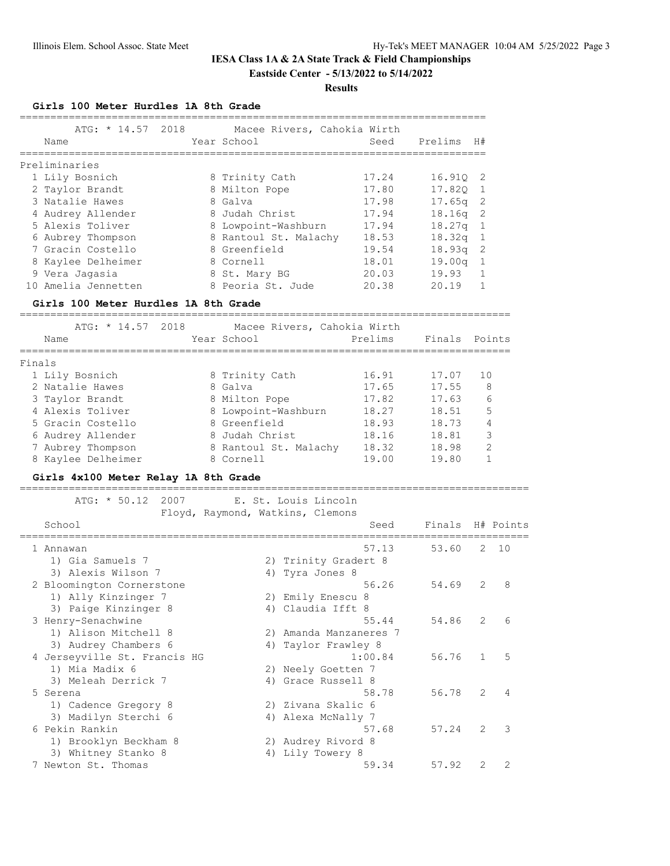# **IESA Class 1A & 2A State Track & Field Championships Eastside Center - 5/13/2022 to 5/14/2022**

# **Results**

**Girls 100 Meter Hurdles 1A 8th Grade**

| ===================      |                                      |      |                        |                                  |                 |         |               |              |
|--------------------------|--------------------------------------|------|------------------------|----------------------------------|-----------------|---------|---------------|--------------|
|                          | ATG: * 14.57 2018                    |      |                        | Macee Rivers, Cahokia Wirth      |                 |         |               |              |
| Name                     |                                      |      | Year School            |                                  | Seed            | Prelims | H#            |              |
| Preliminaries            |                                      |      |                        |                                  |                 |         |               |              |
| 1 Lily Bosnich           |                                      |      | 8 Trinity Cath         |                                  | 17.24           | 16.91Q  | 2             |              |
| 2 Taylor Brandt          |                                      |      | 8 Milton Pope          |                                  | 17.80           | 17.82Q  | $\mathbf{1}$  |              |
| 3 Natalie Hawes          |                                      |      | 8 Galva                |                                  | 17.98           | 17.65q  | 2             |              |
|                          | 4 Audrey Allender                    |      | 8 Judah Christ         |                                  | 17.94           | 18.16q  | 2             |              |
| 5 Alexis Toliver         |                                      |      | 8 Lowpoint-Washburn    |                                  | 17.94           | 18.27q  | $\mathbf{1}$  |              |
|                          | 6 Aubrey Thompson                    |      |                        | 8 Rantoul St. Malachy            | 18.53           | 18.32q  | $\mathbf{1}$  |              |
|                          | 7 Gracin Costello                    |      | 8 Greenfield           |                                  | 19.54           | 18.93q  | 2             |              |
|                          | 8 Kaylee Delheimer                   |      | 8 Cornell              |                                  | 18.01           | 19.00q  | $\mathbf{1}$  |              |
| 9 Vera Jagasia           |                                      |      | 8 St. Mary BG          |                                  | 20.03           | 19.93   | $\mathbf{1}$  |              |
|                          | 10 Amelia Jennetten                  |      | 8 Peoria St. Jude      |                                  | 20.38           | 20.19   | $\mathbf{1}$  |              |
|                          | Girls 100 Meter Hurdles 1A 8th Grade |      |                        |                                  |                 |         |               |              |
|                          |                                      |      |                        |                                  |                 |         |               |              |
|                          | ATG: * 14.57 2018                    |      |                        | Macee Rivers, Cahokia Wirth      |                 |         |               |              |
| Name                     |                                      |      | Year School            |                                  | Prelims         | Finals  |               | Points       |
| ==============<br>Finals |                                      |      | ______________________ |                                  | =============== |         |               |              |
| 1 Lily Bosnich           |                                      |      | 8 Trinity Cath         |                                  | 16.91           | 17.07   | 10            |              |
| 2 Natalie Hawes          |                                      |      | 8 Galva                |                                  | 17.65           | 17.55   |               | 8            |
| 3 Taylor Brandt          |                                      |      | 8 Milton Pope          |                                  | 17.82           | 17.63   |               | 6            |
| 4 Alexis Toliver         |                                      |      | 8 Lowpoint-Washburn    |                                  | 18.27           | 18.51   | 5             |              |
|                          | 5 Gracin Costello                    |      | 8 Greenfield           |                                  | 18.93           | 18.73   |               | 4            |
|                          | 6 Audrey Allender                    |      | 8 Judah Christ         |                                  | 18.16           | 18.81   |               | 3            |
|                          | 7 Aubrey Thompson                    |      |                        | 8 Rantoul St. Malachy            | 18.32           | 18.98   |               | 2            |
|                          | 8 Kaylee Delheimer                   |      | 8 Cornell              |                                  | 19.00           | 19.80   |               | $\mathbf{1}$ |
|                          |                                      |      |                        |                                  |                 |         |               |              |
|                          | Girls 4x100 Meter Relay 1A 8th Grade |      |                        |                                  |                 |         |               |              |
|                          | ATG: $* 50.12$                       | 2007 |                        | E. St. Louis Lincoln             |                 |         |               |              |
|                          |                                      |      |                        | Floyd, Raymond, Watkins, Clemons |                 |         |               |              |
| School                   |                                      |      |                        |                                  | Seed            | Finals  |               | H# Points    |
|                          |                                      |      |                        |                                  |                 |         |               |              |
| 1 Annawan                |                                      |      |                        |                                  | 57.13           | 53.60   | 2             | 10           |
|                          | 1) Gia Samuels 7                     |      |                        | 2) Trinity Gradert 8             |                 |         |               |              |
|                          | 3) Alexis Wilson 7                   |      |                        | 4) Tyra Jones 8                  |                 |         |               |              |
|                          | 2 Bloomington Cornerstone            |      |                        |                                  | 56.26           | 54.69   | 2             | 8            |
|                          | 1) Ally Kinzinger 7                  |      |                        | 2) Emily Enescu 8                |                 |         |               |              |
|                          | 3) Paige Kinzinger 8                 |      |                        | 4) Claudia Ifft 8                |                 |         |               |              |
|                          | 3 Hanry-Sanachwing                   |      |                        |                                  | 55 11           | 51.86   | $\mathcal{D}$ | $\epsilon$   |

| 2 Bloomington Cornerstone    |    | 56.26                  | 54.69 | 2             | - 8            |
|------------------------------|----|------------------------|-------|---------------|----------------|
| 1) Ally Kinzinger 7          |    | 2) Emily Enescu 8      |       |               |                |
| 3) Paige Kinzinger 8         |    | 4) Claudia Ifft 8      |       |               |                |
| 3 Henry-Senachwine           |    | 55.44                  | 54.86 | 2             | 6              |
| 1) Alison Mitchell 8         |    | 2) Amanda Manzaneres 7 |       |               |                |
| 3) Audrey Chambers 6         |    | 4) Taylor Frawley 8    |       |               |                |
| 4 Jerseyville St. Francis HG |    | 1:00.84                | 56.76 | $\mathbf{1}$  | - 5            |
| 1) Mia Madix 6               |    | 2) Neely Goetten 7     |       |               |                |
| 3) Meleah Derrick 7          |    | 4) Grace Russell 8     |       |               |                |
| 5 Serena                     |    | 58.78                  | 56.78 | 2             | $\overline{4}$ |
| 1) Cadence Gregory 8         |    | 2) Zivana Skalic 6     |       |               |                |
| 3) Madilyn Sterchi 6         |    | 4) Alexa McNally 7     |       |               |                |
| 6 Pekin Rankin               |    | 57.68                  | 57.24 | $\mathcal{L}$ | - 3            |
| 1) Brooklyn Beckham 8        |    | 2) Audrey Rivord 8     |       |               |                |
| 3) Whitney Stanko 8          | 4) | Lily Towery 8          |       |               |                |
|                              |    |                        |       |               |                |

7 Newton St. Thomas 59.34 57.92 2 2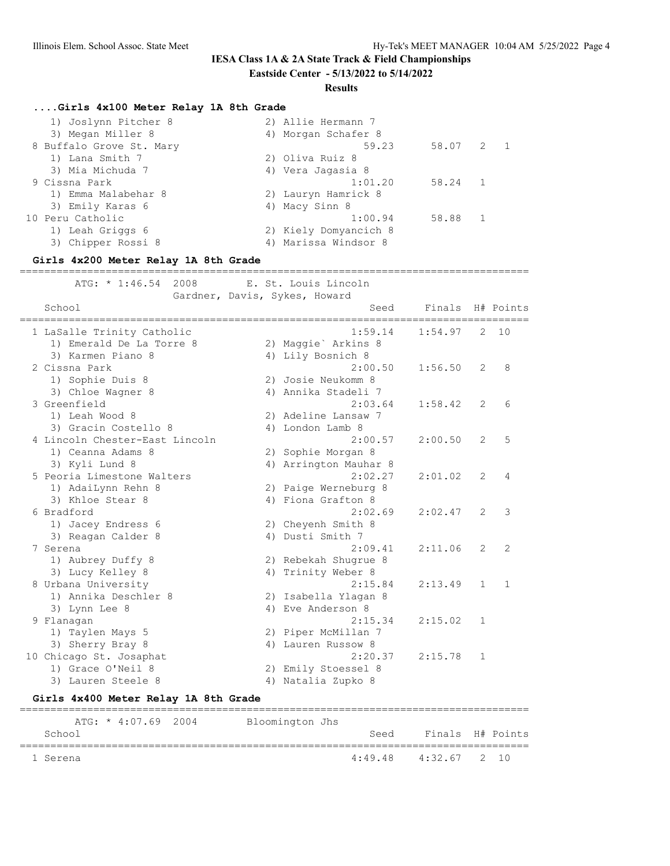**Eastside Center - 5/13/2022 to 5/14/2022**

#### **Results**

# **....Girls 4x100 Meter Relay 1A 8th Grade**

| 2) Allie Hermann 7                 |
|------------------------------------|
| 4) Morgan Schafer 8                |
| 58.07 2 1<br>59.23                 |
| 2) Oliva Ruiz 8                    |
| 4) Vera Jagasia 8                  |
| 1:01.20<br>58.24<br>$\overline{1}$ |
| 2) Lauryn Hamrick 8                |
| 4) Macy Sinn 8                     |
| 1:00.94<br>58.88<br>$\overline{1}$ |
| 2) Kiely Domyancich 8              |
| 4) Marissa Windsor 8               |
|                                    |

| Girls 4x200 Meter Relay 1A 8th Grade |                                      |  |                                                       |         |              |              |  |  |  |
|--------------------------------------|--------------------------------------|--|-------------------------------------------------------|---------|--------------|--------------|--|--|--|
| ATG: * 1:46.54                       | 2008                                 |  | E. St. Louis Lincoln<br>Gardner, Davis, Sykes, Howard |         |              |              |  |  |  |
| School                               |                                      |  | Seed<br>=============================                 | Finals  |              | H# Points    |  |  |  |
| 1 LaSalle Trinity Catholic           |                                      |  | 1:59.14                                               | 1:54.97 | 2            | 10           |  |  |  |
|                                      | 1) Emerald De La Torre 8             |  | 2) Maggie` Arkins 8                                   |         |              |              |  |  |  |
| 3) Karmen Piano 8                    |                                      |  | 4) Lily Bosnich 8                                     |         |              |              |  |  |  |
| 2 Cissna Park                        |                                      |  | 2:00.50                                               | 1:56.50 | 2            | 8            |  |  |  |
| 1) Sophie Duis 8                     |                                      |  | 2) Josie Neukomm 8                                    |         |              |              |  |  |  |
| 3) Chloe Wagner 8                    |                                      |  | 4) Annika Stadeli 7                                   |         |              |              |  |  |  |
| 3 Greenfield                         |                                      |  | 2:03.64                                               | 1:58.42 | 2            | 6            |  |  |  |
| 1) Leah Wood 8                       |                                      |  | 2) Adeline Lansaw 7                                   |         |              |              |  |  |  |
| 3) Gracin Costello 8                 |                                      |  | 4) London Lamb 8                                      |         |              |              |  |  |  |
|                                      | 4 Lincoln Chester-East Lincoln       |  | 2:00.57                                               | 2:00.50 | 2            | 5            |  |  |  |
| 1) Ceanna Adams 8                    |                                      |  | 2) Sophie Morgan 8                                    |         |              |              |  |  |  |
| 3) Kyli Lund 8                       |                                      |  | 4) Arrington Mauhar 8                                 |         |              |              |  |  |  |
| 5 Peoria Limestone Walters           |                                      |  | 2:02.27                                               | 2:01.02 | 2            | 4            |  |  |  |
| 1) AdaiLynn Rehn 8                   |                                      |  | 2) Paige Werneburg 8                                  |         |              |              |  |  |  |
| 3) Khloe Stear 8                     |                                      |  | 4) Fiona Grafton 8                                    |         |              |              |  |  |  |
| 6 Bradford                           |                                      |  | 2:02.69                                               | 2:02.47 | 2            | 3            |  |  |  |
| 1) Jacey Endress 6                   |                                      |  | 2) Cheyenh Smith 8                                    |         |              |              |  |  |  |
| 3) Reagan Calder 8                   |                                      |  | 4) Dusti Smith 7                                      |         |              |              |  |  |  |
| 7 Serena                             |                                      |  | 2:09.41                                               | 2:11.06 | 2            | 2            |  |  |  |
| 1) Aubrey Duffy 8                    |                                      |  | 2) Rebekah Shugrue 8                                  |         |              |              |  |  |  |
| 3) Lucy Kelley 8                     |                                      |  | 4) Trinity Weber 8                                    |         |              |              |  |  |  |
| 8 Urbana University                  |                                      |  | 2:15.84                                               | 2:13.49 | $\mathbf{1}$ | $\mathbf{1}$ |  |  |  |
| 1) Annika Deschler 8                 |                                      |  | 2) Isabella Ylagan 8                                  |         |              |              |  |  |  |
| 3) Lynn Lee 8                        |                                      |  | 4) Eve Anderson 8                                     |         |              |              |  |  |  |
| 9 Flanagan                           |                                      |  | 2:15.34                                               | 2:15.02 | $\mathbf{1}$ |              |  |  |  |
| 1) Taylen Mays 5                     |                                      |  | 2) Piper McMillan 7                                   |         |              |              |  |  |  |
| 3) Sherry Bray 8                     |                                      |  | 4) Lauren Russow 8                                    |         |              |              |  |  |  |
| 10 Chicago St. Josaphat              |                                      |  | 2:20.37                                               | 2:15.78 | $\mathbf{1}$ |              |  |  |  |
| 1) Grace O'Neil 8                    |                                      |  | 2) Emily Stoessel 8                                   |         |              |              |  |  |  |
| 3) Lauren Steele 8                   |                                      |  | 4) Natalia Zupko 8                                    |         |              |              |  |  |  |
|                                      | Girls 4x400 Meter Relay 1A 8th Grade |  |                                                       |         |              |              |  |  |  |

 ATG: \* 4:07.69 2004 Bloomington Jhs School School Seed Finals H# Points =================================================================================== 1 Serena 4:49.48 4:32.67 2 10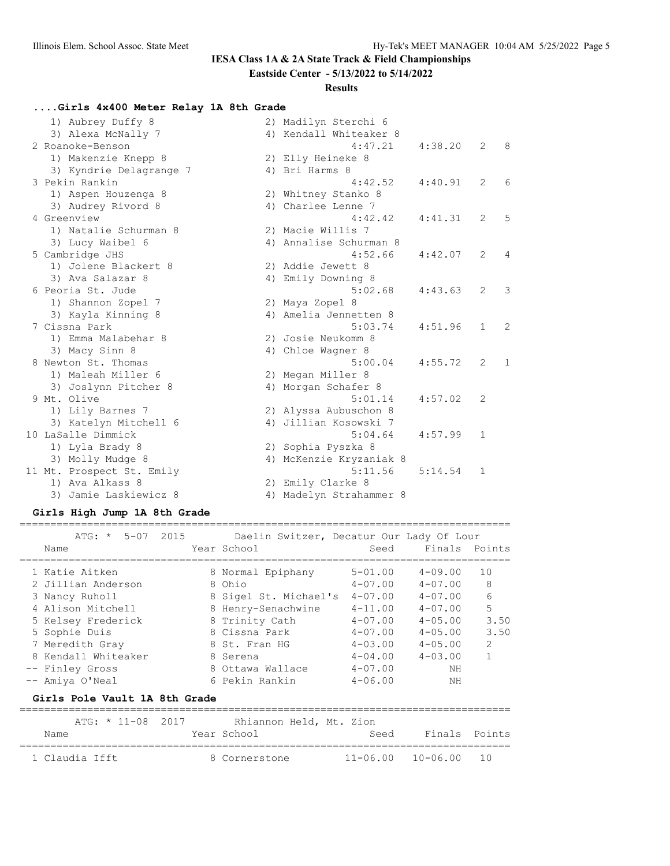**Eastside Center - 5/13/2022 to 5/14/2022**

#### **Results**

#### **....Girls 4x400 Meter Relay 1A 8th Grade**

| 1) Aubrey Duffy 8         |    | 2) Madilyn Sterchi 6    |         |              |              |
|---------------------------|----|-------------------------|---------|--------------|--------------|
| 3) Alexa McNally 7        |    | 4) Kendall Whiteaker 8  |         |              |              |
| 2 Roanoke-Benson          |    | 4:47.21                 | 4:38.20 | 2            | 8            |
| 1) Makenzie Knepp 8       |    | 2) Elly Heineke 8       |         |              |              |
| 3) Kyndrie Delagrange 7   |    | 4) Bri Harms 8          |         |              |              |
| 3 Pekin Rankin            |    | 4:42.52                 | 4:40.91 | 2            | 6            |
| 1) Aspen Houzenga 8       |    | 2) Whitney Stanko 8     |         |              |              |
| 3) Audrey Rivord 8        |    | 4) Charlee Lenne 7      |         |              |              |
| 4 Greenview               |    | 4:42.42                 | 4:41.31 | 2            | 5            |
| 1) Natalie Schurman 8     |    | 2) Macie Willis 7       |         |              |              |
| 3) Lucy Waibel 6          |    | 4) Annalise Schurman 8  |         |              |              |
| 5 Cambridge JHS           |    | 4:52.66                 | 4:42.07 | 2            | 4            |
| 1) Jolene Blackert 8      |    | 2) Addie Jewett 8       |         |              |              |
| 3) Ava Salazar 8          |    | 4) Emily Downing 8      |         |              |              |
| 6 Peoria St. Jude         |    | 5:02.68                 | 4:43.63 | 2            | 3            |
| 1) Shannon Zopel 7        |    | 2) Maya Zopel 8         |         |              |              |
| 3) Kayla Kinning 8        |    | 4) Amelia Jennetten 8   |         |              |              |
| 7 Cissna Park             |    | 5:03.74                 | 4:51.96 | $\mathbf{1}$ | 2            |
| 1) Emma Malabehar 8       |    | 2) Josie Neukomm 8      |         |              |              |
| 3) Macy Sinn 8            |    | 4) Chloe Wagner 8       |         |              |              |
| 8 Newton St. Thomas       |    | 5:00.04                 | 4:55.72 | 2            | $\mathbf{1}$ |
| 1) Maleah Miller 6        |    | 2) Megan Miller 8       |         |              |              |
| 3) Joslynn Pitcher 8      |    | 4) Morgan Schafer 8     |         |              |              |
| 9 Mt. Olive               |    | 5:01.14                 | 4:57.02 | 2            |              |
| 1) Lily Barnes 7          |    | 2) Alyssa Aubuschon 8   |         |              |              |
| 3) Katelyn Mitchell 6     |    | 4) Jillian Kosowski 7   |         |              |              |
| 10 LaSalle Dimmick        |    | 5:04.64                 | 4:57.99 | $\mathbf{1}$ |              |
| 1) Lyla Brady 8           | 2) | Sophia Pyszka 8         |         |              |              |
| 3) Molly Mudge 8          |    | 4) McKenzie Kryzaniak 8 |         |              |              |
| 11 Mt. Prospect St. Emily |    | 5:11.56                 | 5:14.54 | 1            |              |
| 1) Ava Alkass 8           |    | 2) Emily Clarke 8       |         |              |              |
| Jamie Laskiewicz 8<br>3)  |    | 4) Madelyn Strahammer 8 |         |              |              |

#### **Girls High Jump 1A 8th Grade**

# ATG: \* 5-07 2015 Daelin Switzer, Decatur Our Lady Of Lour Name Year School Seed Finals Points ================================================================================ 1 Katie Aitken 8 Normal Epiphany 5-01.00 4-09.00 10 2 Jillian Anderson 8 Ohio 4-07.00 4-07.00 8 3 Nancy Ruholl 8 Sigel St. Michael's 4-07.00 4-07.00 6 4 Alison Mitchell 8 Henry-Senachwine 4-11.00 4-07.00 5 5 Kelsey Frederick 8 Trinity Cath 4-07.00 4-05.00 3.50 5 Sophie Duis 8 Cissna Park 4-07.00 4-05.00 3.50 7 Meredith Gray 8 St. Fran HG 4-03.00 4-05.00 2 8 Kendall Whiteaker 8 Serena 4-04.00 4-03.00 1 -- Finley Gross 8 Ottawa Wallace 4-07.00 NH -- Amiya O'Neal 6 Pekin Rankin 4-06.00 NH

================================================================================

#### **Girls Pole Vault 1A 8th Grade**

| $ATG: * 11-08 2017$<br>Name | Rhiannon Held, Mt. Zion<br>Year School | Seed | Finals Points                  |  |
|-----------------------------|----------------------------------------|------|--------------------------------|--|
| 1 Claudia Ifft              | 8 Cornerstone                          |      | $11 - 06.00$ $10 - 06.00$ $10$ |  |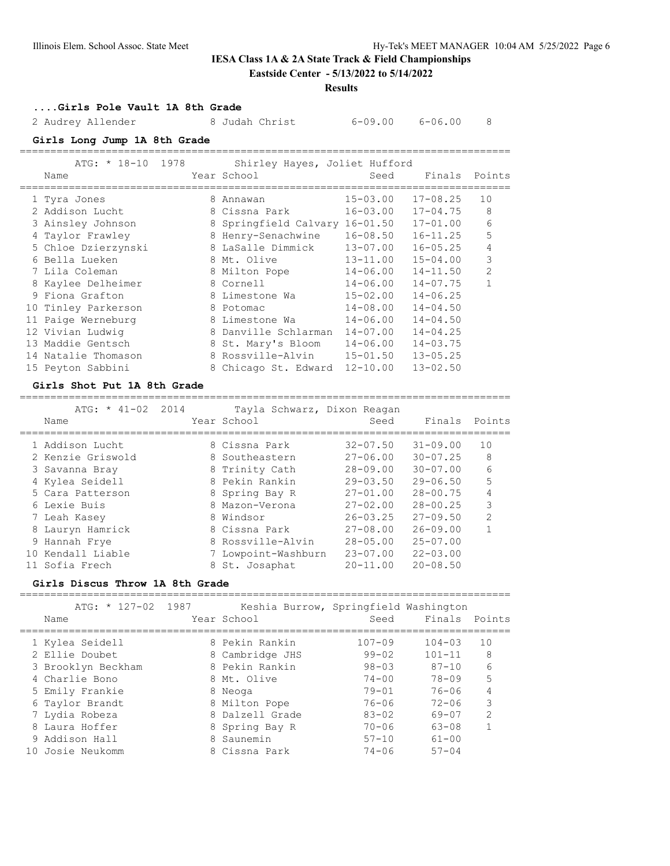# **Eastside Center - 5/13/2022 to 5/14/2022**

#### **Results**

# **....Girls Pole Vault 1A 8th Grade**

2 Audrey Allender 8 Judah Christ 6-09.00 6-06.00 8

#### **Girls Long Jump 1A 8th Grade** ================================================================================

| ATG: * 18-10 1978<br>Name | Shirley Hayes, Joliet Hufford<br>Year School | Seed         | Finals       | Points         |
|---------------------------|----------------------------------------------|--------------|--------------|----------------|
| 1 Tyra Jones              | 8 Annawan                                    | $15 - 03.00$ | $17 - 08.25$ | 10             |
| 2 Addison Lucht           | 8 Cissna Park                                | $16 - 03.00$ | $17 - 04.75$ | 8              |
| 3 Ainsley Johnson         | 8 Springfield Calvary 16-01.50               |              | $17 - 01.00$ | 6              |
| 4 Taylor Frawley          | 8 Henry-Senachwine                           | $16 - 08.50$ | $16 - 11.25$ | 5              |
| 5 Chloe Dzierzynski       | 8 LaSalle Dimmick                            | $13 - 07.00$ | $16 - 05.25$ | 4              |
| 6 Bella Lueken            | 8 Mt. Olive                                  | $13 - 11.00$ | $15 - 04.00$ | 3              |
| 7 Lila Coleman            | 8 Milton Pope                                | $14 - 06.00$ | $14 - 11.50$ | $\overline{2}$ |
| 8 Kaylee Delheimer        | 8 Cornell                                    | $14 - 06.00$ | $14 - 07.75$ | 1              |
| 9 Fiona Grafton           | 8 Limestone Wa                               | $15 - 02.00$ | $14 - 06.25$ |                |
| 10 Tinley Parkerson       | 8 Potomac                                    | $14 - 08.00$ | $14 - 04.50$ |                |
| 11 Paige Werneburg        | 8 Limestone Wa                               | $14 - 06.00$ | $14 - 04.50$ |                |
| 12 Vivian Ludwig          | 8 Danville Schlarman                         | $14 - 07.00$ | $14 - 04.25$ |                |
| 13 Maddie Gentsch         | 8 St. Mary's Bloom                           | $14 - 06.00$ | $14 - 03.75$ |                |
| 14 Natalie Thomason       | 8 Rossville-Alvin                            | $15 - 01.50$ | $13 - 05.25$ |                |
| 15 Peyton Sabbini         | 8 Chicago St. Edward                         | $12 - 10.00$ | $13 - 02.50$ |                |

## **Girls Shot Put 1A 8th Grade**

|     | $ATG: * 41-02$<br>2014<br>Name | Tayla Schwarz, Dixon Reagan<br>Year School | Seed         | Finals       | Points         |
|-----|--------------------------------|--------------------------------------------|--------------|--------------|----------------|
|     | 1 Addison Lucht                | 8 Cissna Park                              | $32 - 07.50$ | $31 - 09.00$ | 10             |
|     | 2 Kenzie Griswold              | 8 Southeastern                             | $27 - 06.00$ | $30 - 07.25$ | 8              |
|     | 3 Savanna Bray                 | 8 Trinity Cath                             | $28 - 09.00$ | $30 - 07.00$ | 6              |
|     | 4 Kylea Seidell                | 8 Pekin Rankin                             | $29 - 03.50$ | $29 - 06.50$ | 5              |
|     | 5 Cara Patterson               | 8 Spring Bay R                             | $27 - 01.00$ | $28 - 00.75$ | 4              |
|     | 6 Lexie Buis                   | 8 Mazon-Verona                             | $27 - 02.00$ | $28 - 00.25$ | 3              |
|     | 7 Leah Kasey                   | 8 Windsor                                  | $26 - 03.25$ | $27 - 09.50$ | $\mathfrak{D}$ |
|     | 8 Lauryn Hamrick               | 8 Cissna Park                              | $27 - 08.00$ | $26 - 09.00$ |                |
|     | 9 Hannah Frye                  | 8 Rossville-Alvin                          | $28 - 05.00$ | $25 - 07.00$ |                |
| 1 O | Kendall Liable                 | Lowpoint-Washburn                          | $23 - 07.00$ | $22 - 03.00$ |                |
|     | 11 Sofia Frech                 | 8 St. Josaphat                             | $20 - 11.00$ | $20 - 08.50$ |                |

## **Girls Discus Throw 1A 8th Grade**

| ATG: * 127-02 1987<br>Name | Keshia Burrow, Springfield Washington<br>Year School | Seed       | Finals Points |                |
|----------------------------|------------------------------------------------------|------------|---------------|----------------|
| 1 Kylea Seidell            | 8 Pekin Rankin                                       | $107 - 09$ | $104 - 03$    | 1 O            |
| 2 Ellie Doubet             | 8 Cambridge JHS                                      | $99 - 02$  | $101 - 11$    | 8              |
| 3 Brooklyn Beckham         | 8 Pekin Rankin                                       | $98 - 03$  | $87 - 10$     | 6              |
| 4 Charlie Bono             | 8 Mt. Olive                                          | $74 - 00$  | 78-09         | 5              |
| 5 Emily Frankie            | 8 Neoga                                              | $79 - 01$  | $76 - 06$     | 4              |
| 6 Taylor Brandt            | 8 Milton Pope                                        | $76 - 06$  | $72 - 06$     | 3              |
| 7 Lydia Robeza             | 8 Dalzell Grade                                      | $83 - 02$  | 69-07         | $\mathfrak{D}$ |
| 8 Laura Hoffer             | 8 Spring Bay R                                       | $70 - 06$  | $63 - 08$     |                |
| 9 Addison Hall             | 8 Saunemin                                           | $57 - 10$  | $61 - 00$     |                |
| Josie Neukomm              | 8 Cissna Park                                        | $74 - 06$  | $57 - 04$     |                |